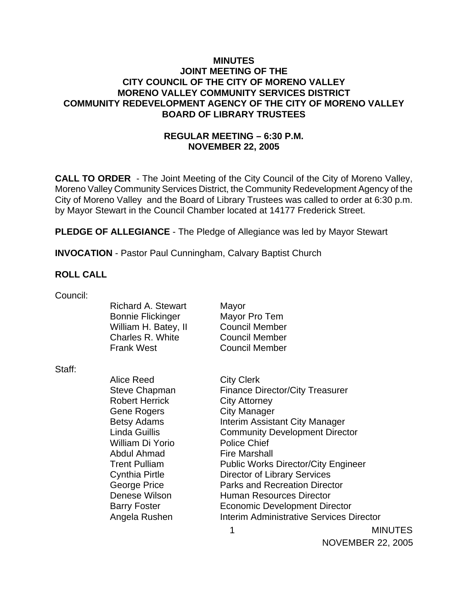### **MINUTES JOINT MEETING OF THE CITY COUNCIL OF THE CITY OF MORENO VALLEY MORENO VALLEY COMMUNITY SERVICES DISTRICT COMMUNITY REDEVELOPMENT AGENCY OF THE CITY OF MORENO VALLEY BOARD OF LIBRARY TRUSTEES**

# **REGULAR MEETING – 6:30 P.M. NOVEMBER 22, 2005**

**CALL TO ORDER** - The Joint Meeting of the City Council of the City of Moreno Valley, Moreno Valley Community Services District, the Community Redevelopment Agency of the City of Moreno Valley and the Board of Library Trustees was called to order at 6:30 p.m. by Mayor Stewart in the Council Chamber located at 14177 Frederick Street.

**PLEDGE OF ALLEGIANCE** - The Pledge of Allegiance was led by Mayor Stewart

**INVOCATION** - Pastor Paul Cunningham, Calvary Baptist Church

#### **ROLL CALL**

| Council: |                          |                                                 |                |
|----------|--------------------------|-------------------------------------------------|----------------|
|          | Richard A. Stewart       | Mayor                                           |                |
|          | <b>Bonnie Flickinger</b> | Mayor Pro Tem                                   |                |
|          | William H. Batey, II     | <b>Council Member</b>                           |                |
|          | Charles R. White         | <b>Council Member</b>                           |                |
|          | <b>Frank West</b>        | <b>Council Member</b>                           |                |
| Staff:   |                          |                                                 |                |
|          | Alice Reed               | <b>City Clerk</b>                               |                |
|          | <b>Steve Chapman</b>     | <b>Finance Director/City Treasurer</b>          |                |
|          | <b>Robert Herrick</b>    | <b>City Attorney</b>                            |                |
|          | Gene Rogers              | City Manager                                    |                |
|          | <b>Betsy Adams</b>       | Interim Assistant City Manager                  |                |
|          | Linda Guillis            | <b>Community Development Director</b>           |                |
|          | William Di Yorio         | <b>Police Chief</b>                             |                |
|          | Abdul Ahmad              | <b>Fire Marshall</b>                            |                |
|          | <b>Trent Pulliam</b>     | <b>Public Works Director/City Engineer</b>      |                |
|          | <b>Cynthia Pirtle</b>    | <b>Director of Library Services</b>             |                |
|          | George Price             | <b>Parks and Recreation Director</b>            |                |
|          | Denese Wilson            | <b>Human Resources Director</b>                 |                |
|          | <b>Barry Foster</b>      | <b>Economic Development Director</b>            |                |
|          | Angela Rushen            | <b>Interim Administrative Services Director</b> |                |
|          |                          | 1                                               | <b>MINUTES</b> |

NOVEMBER 22, 2005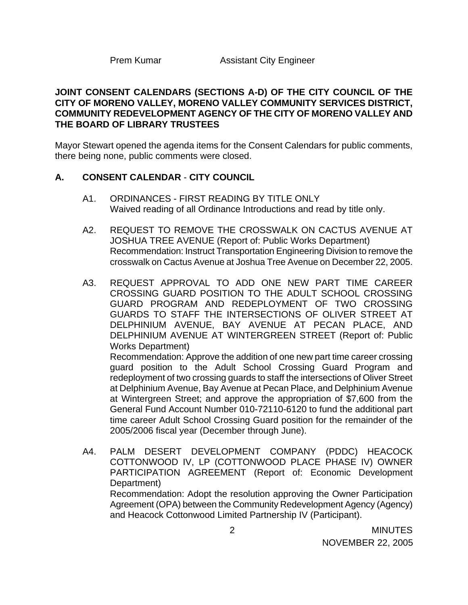# **JOINT CONSENT CALENDARS (SECTIONS A-D) OF THE CITY COUNCIL OF THE CITY OF MORENO VALLEY, MORENO VALLEY COMMUNITY SERVICES DISTRICT, COMMUNITY REDEVELOPMENT AGENCY OF THE CITY OF MORENO VALLEY AND THE BOARD OF LIBRARY TRUSTEES**

Mayor Stewart opened the agenda items for the Consent Calendars for public comments, there being none, public comments were closed.

#### **A. CONSENT CALENDAR** - **CITY COUNCIL**

- A1. ORDINANCES FIRST READING BY TITLE ONLY Waived reading of all Ordinance Introductions and read by title only.
- A2. REQUEST TO REMOVE THE CROSSWALK ON CACTUS AVENUE AT JOSHUA TREE AVENUE (Report of: Public Works Department) Recommendation: Instruct Transportation Engineering Division to remove the crosswalk on Cactus Avenue at Joshua Tree Avenue on December 22, 2005.
- A3. REQUEST APPROVAL TO ADD ONE NEW PART TIME CAREER CROSSING GUARD POSITION TO THE ADULT SCHOOL CROSSING GUARD PROGRAM AND REDEPLOYMENT OF TWO CROSSING GUARDS TO STAFF THE INTERSECTIONS OF OLIVER STREET AT DELPHINIUM AVENUE, BAY AVENUE AT PECAN PLACE, AND DELPHINIUM AVENUE AT WINTERGREEN STREET (Report of: Public Works Department)

 Recommendation: Approve the addition of one new part time career crossing guard position to the Adult School Crossing Guard Program and redeployment of two crossing guards to staff the intersections of Oliver Street at Delphinium Avenue, Bay Avenue at Pecan Place, and Delphinium Avenue at Wintergreen Street; and approve the appropriation of \$7,600 from the General Fund Account Number 010-72110-6120 to fund the additional part time career Adult School Crossing Guard position for the remainder of the 2005/2006 fiscal year (December through June).

A4. PALM DESERT DEVELOPMENT COMPANY (PDDC) HEACOCK COTTONWOOD IV, LP (COTTONWOOD PLACE PHASE IV) OWNER PARTICIPATION AGREEMENT (Report of: Economic Development Department) Recommendation: Adopt the resolution approving the Owner Participation

Agreement (OPA) between the Community Redevelopment Agency (Agency) and Heacock Cottonwood Limited Partnership IV (Participant).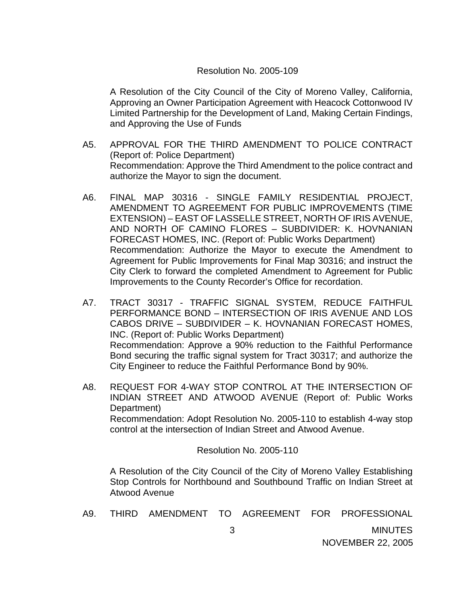#### Resolution No. 2005-109

 A Resolution of the City Council of the City of Moreno Valley, California, Approving an Owner Participation Agreement with Heacock Cottonwood IV Limited Partnership for the Development of Land, Making Certain Findings, and Approving the Use of Funds

- A5. APPROVAL FOR THE THIRD AMENDMENT TO POLICE CONTRACT (Report of: Police Department) Recommendation: Approve the Third Amendment to the police contract and authorize the Mayor to sign the document.
- A6. FINAL MAP 30316 SINGLE FAMILY RESIDENTIAL PROJECT, AMENDMENT TO AGREEMENT FOR PUBLIC IMPROVEMENTS (TIME EXTENSION) – EAST OF LASSELLE STREET, NORTH OF IRIS AVENUE, AND NORTH OF CAMINO FLORES – SUBDIVIDER: K. HOVNANIAN FORECAST HOMES, INC. (Report of: Public Works Department) Recommendation: Authorize the Mayor to execute the Amendment to Agreement for Public Improvements for Final Map 30316; and instruct the City Clerk to forward the completed Amendment to Agreement for Public Improvements to the County Recorder's Office for recordation.
- A7. TRACT 30317 TRAFFIC SIGNAL SYSTEM, REDUCE FAITHFUL PERFORMANCE BOND – INTERSECTION OF IRIS AVENUE AND LOS CABOS DRIVE – SUBDIVIDER – K. HOVNANIAN FORECAST HOMES, INC. (Report of: Public Works Department) Recommendation: Approve a 90% reduction to the Faithful Performance Bond securing the traffic signal system for Tract 30317; and authorize the City Engineer to reduce the Faithful Performance Bond by 90%.
- A8. REQUEST FOR 4-WAY STOP CONTROL AT THE INTERSECTION OF INDIAN STREET AND ATWOOD AVENUE (Report of: Public Works Department) Recommendation: Adopt Resolution No. 2005-110 to establish 4-way stop control at the intersection of Indian Street and Atwood Avenue.

Resolution No. 2005-110

 A Resolution of the City Council of the City of Moreno Valley Establishing Stop Controls for Northbound and Southbound Traffic on Indian Street at Atwood Avenue

|  |  |  |  | THIRD AMENDMENT TO AGREEMENT FOR PROFESSIONAL |
|--|--|--|--|-----------------------------------------------|
|  |  |  |  | <b>MINUTES</b>                                |

NOVEMBER 22, 2005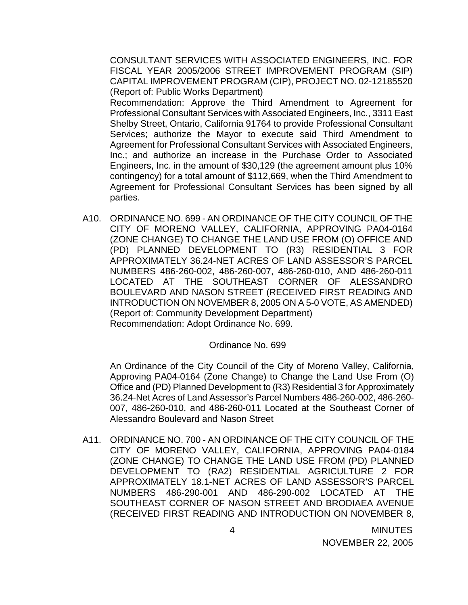CONSULTANT SERVICES WITH ASSOCIATED ENGINEERS, INC. FOR FISCAL YEAR 2005/2006 STREET IMPROVEMENT PROGRAM (SIP) CAPITAL IMPROVEMENT PROGRAM (CIP), PROJECT NO. 02-12185520 (Report of: Public Works Department)

 Recommendation: Approve the Third Amendment to Agreement for Professional Consultant Services with Associated Engineers, Inc., 3311 East Shelby Street, Ontario, California 91764 to provide Professional Consultant Services; authorize the Mayor to execute said Third Amendment to Agreement for Professional Consultant Services with Associated Engineers, Inc.; and authorize an increase in the Purchase Order to Associated Engineers, Inc. in the amount of \$30,129 (the agreement amount plus 10% contingency) for a total amount of \$112,669, when the Third Amendment to Agreement for Professional Consultant Services has been signed by all parties.

A10. ORDINANCE NO. 699 - AN ORDINANCE OF THE CITY COUNCIL OF THE CITY OF MORENO VALLEY, CALIFORNIA, APPROVING PA04-0164 (ZONE CHANGE) TO CHANGE THE LAND USE FROM (O) OFFICE AND (PD) PLANNED DEVELOPMENT TO (R3) RESIDENTIAL 3 FOR APPROXIMATELY 36.24-NET ACRES OF LAND ASSESSOR'S PARCEL NUMBERS 486-260-002, 486-260-007, 486-260-010, AND 486-260-011 LOCATED AT THE SOUTHEAST CORNER OF ALESSANDRO BOULEVARD AND NASON STREET (RECEIVED FIRST READING AND INTRODUCTION ON NOVEMBER 8, 2005 ON A 5-0 VOTE, AS AMENDED) (Report of: Community Development Department) Recommendation: Adopt Ordinance No. 699.

#### Ordinance No. 699

An Ordinance of the City Council of the City of Moreno Valley, California, Approving PA04-0164 (Zone Change) to Change the Land Use From (O) Office and (PD) Planned Development to (R3) Residential 3 for Approximately 36.24-Net Acres of Land Assessor's Parcel Numbers 486-260-002, 486-260- 007, 486-260-010, and 486-260-011 Located at the Southeast Corner of Alessandro Boulevard and Nason Street

A11. ORDINANCE NO. 700 - AN ORDINANCE OF THE CITY COUNCIL OF THE CITY OF MORENO VALLEY, CALIFORNIA, APPROVING PA04-0184 (ZONE CHANGE) TO CHANGE THE LAND USE FROM (PD) PLANNED DEVELOPMENT TO (RA2) RESIDENTIAL AGRICULTURE 2 FOR APPROXIMATELY 18.1-NET ACRES OF LAND ASSESSOR'S PARCEL NUMBERS 486-290-001 AND 486-290-002 LOCATED AT THE SOUTHEAST CORNER OF NASON STREET AND BRODIAEA AVENUE (RECEIVED FIRST READING AND INTRODUCTION ON NOVEMBER 8,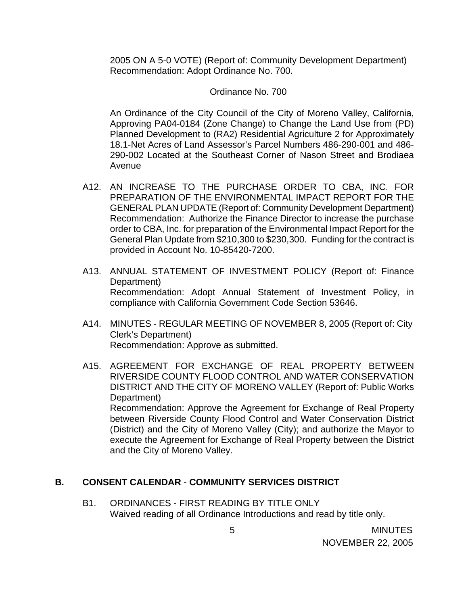2005 ON A 5-0 VOTE) (Report of: Community Development Department) Recommendation: Adopt Ordinance No. 700.

#### Ordinance No. 700

 An Ordinance of the City Council of the City of Moreno Valley, California, Approving PA04-0184 (Zone Change) to Change the Land Use from (PD) Planned Development to (RA2) Residential Agriculture 2 for Approximately 18.1-Net Acres of Land Assessor's Parcel Numbers 486-290-001 and 486- 290-002 Located at the Southeast Corner of Nason Street and Brodiaea Avenue

- A12. AN INCREASE TO THE PURCHASE ORDER TO CBA, INC. FOR PREPARATION OF THE ENVIRONMENTAL IMPACT REPORT FOR THE GENERAL PLAN UPDATE (Report of: Community Development Department) Recommendation: Authorize the Finance Director to increase the purchase order to CBA, Inc. for preparation of the Environmental Impact Report for the General Plan Update from \$210,300 to \$230,300. Funding for the contract is provided in Account No. 10-85420-7200.
- A13. ANNUAL STATEMENT OF INVESTMENT POLICY (Report of: Finance Department) Recommendation: Adopt Annual Statement of Investment Policy, in compliance with California Government Code Section 53646.
- A14. MINUTES REGULAR MEETING OF NOVEMBER 8, 2005 (Report of: City Clerk's Department) Recommendation: Approve as submitted.
- A15. AGREEMENT FOR EXCHANGE OF REAL PROPERTY BETWEEN RIVERSIDE COUNTY FLOOD CONTROL AND WATER CONSERVATION DISTRICT AND THE CITY OF MORENO VALLEY (Report of: Public Works Department) Recommendation: Approve the Agreement for Exchange of Real Property between Riverside County Flood Control and Water Conservation District (District) and the City of Moreno Valley (City); and authorize the Mayor to execute the Agreement for Exchange of Real Property between the District and the City of Moreno Valley.

#### **B. CONSENT CALENDAR** - **COMMUNITY SERVICES DISTRICT**

B1. ORDINANCES - FIRST READING BY TITLE ONLY Waived reading of all Ordinance Introductions and read by title only.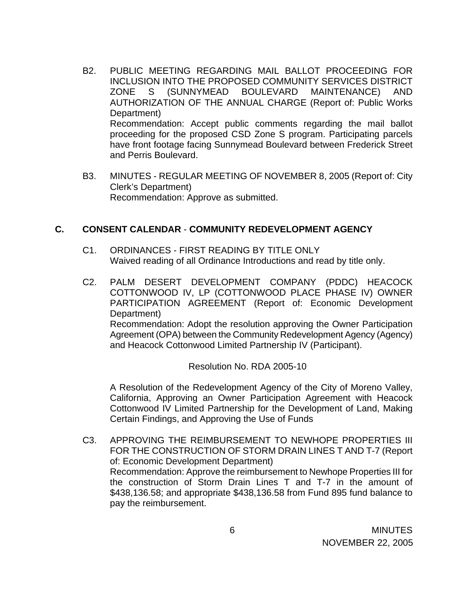- B2. PUBLIC MEETING REGARDING MAIL BALLOT PROCEEDING FOR INCLUSION INTO THE PROPOSED COMMUNITY SERVICES DISTRICT ZONE S (SUNNYMEAD BOULEVARD MAINTENANCE) AND AUTHORIZATION OF THE ANNUAL CHARGE (Report of: Public Works Department) Recommendation: Accept public comments regarding the mail ballot proceeding for the proposed CSD Zone S program. Participating parcels have front footage facing Sunnymead Boulevard between Frederick Street and Perris Boulevard.
- B3. MINUTES REGULAR MEETING OF NOVEMBER 8, 2005 (Report of: City Clerk's Department) Recommendation: Approve as submitted.

#### **C. CONSENT CALENDAR** - **COMMUNITY REDEVELOPMENT AGENCY**

- C1. ORDINANCES FIRST READING BY TITLE ONLY Waived reading of all Ordinance Introductions and read by title only.
- C2. PALM DESERT DEVELOPMENT COMPANY (PDDC) HEACOCK COTTONWOOD IV, LP (COTTONWOOD PLACE PHASE IV) OWNER PARTICIPATION AGREEMENT (Report of: Economic Development Department) Recommendation: Adopt the resolution approving the Owner Participation Agreement (OPA) between the Community Redevelopment Agency (Agency) and Heacock Cottonwood Limited Partnership IV (Participant).

Resolution No. RDA 2005-10

 A Resolution of the Redevelopment Agency of the City of Moreno Valley, California, Approving an Owner Participation Agreement with Heacock Cottonwood IV Limited Partnership for the Development of Land, Making Certain Findings, and Approving the Use of Funds

C3. APPROVING THE REIMBURSEMENT TO NEWHOPE PROPERTIES III FOR THE CONSTRUCTION OF STORM DRAIN LINES T AND T-7 (Report of: Economic Development Department) Recommendation: Approve the reimbursement to Newhope Properties III for the construction of Storm Drain Lines T and T-7 in the amount of \$438,136.58; and appropriate \$438,136.58 from Fund 895 fund balance to pay the reimbursement.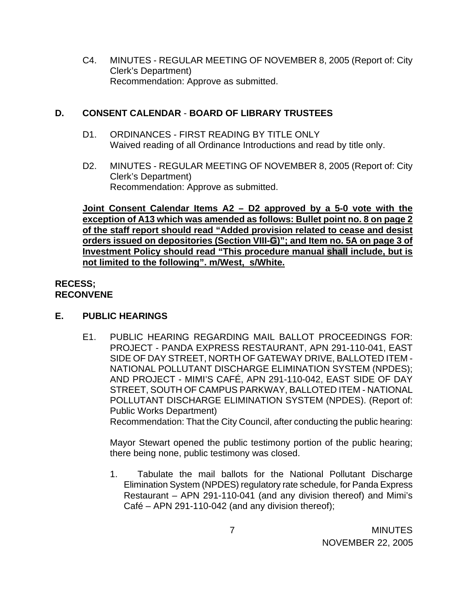C4. MINUTES - REGULAR MEETING OF NOVEMBER 8, 2005 (Report of: City Clerk's Department) Recommendation: Approve as submitted.

# **D. CONSENT CALENDAR** - **BOARD OF LIBRARY TRUSTEES**

- D1. ORDINANCES FIRST READING BY TITLE ONLY Waived reading of all Ordinance Introductions and read by title only.
- D2. MINUTES REGULAR MEETING OF NOVEMBER 8, 2005 (Report of: City Clerk's Department) Recommendation: Approve as submitted.

**Joint Consent Calendar Items A2 – D2 approved by a 5-0 vote with the exception of A13 which was amended as follows: Bullet point no. 8 on page 2 of the staff report should read "Added provision related to cease and desist orders issued on depositories (Section VIII-G)"; and Item no. 5A on page 3 of Investment Policy should read "This procedure manual shall include, but is not limited to the following". m/West, s/White.**

# **RECESS; RECONVENE**

# **E. PUBLIC HEARINGS**

E1. PUBLIC HEARING REGARDING MAIL BALLOT PROCEEDINGS FOR: PROJECT - PANDA EXPRESS RESTAURANT, APN 291-110-041, EAST SIDE OF DAY STREET, NORTH OF GATEWAY DRIVE, BALLOTED ITEM - NATIONAL POLLUTANT DISCHARGE ELIMINATION SYSTEM (NPDES); AND PROJECT - MIMI'S CAFÉ, APN 291-110-042, EAST SIDE OF DAY STREET, SOUTH OF CAMPUS PARKWAY, BALLOTED ITEM - NATIONAL POLLUTANT DISCHARGE ELIMINATION SYSTEM (NPDES). (Report of: Public Works Department) Recommendation: That the City Council, after conducting the public hearing:

 Mayor Stewart opened the public testimony portion of the public hearing; there being none, public testimony was closed.

1. Tabulate the mail ballots for the National Pollutant Discharge Elimination System (NPDES) regulatory rate schedule, for Panda Express Restaurant – APN 291-110-041 (and any division thereof) and Mimi's Café – APN 291-110-042 (and any division thereof);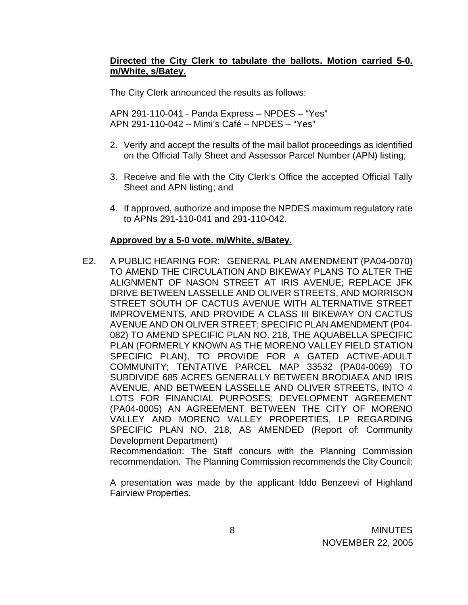# **Directed the City Clerk to tabulate the ballots. Motion carried 5-0. m/White, s/Batey.**

The City Clerk announced the results as follows:

 APN 291-110-041 - Panda Express – NPDES – "Yes" APN 291-110-042 – Mimi's Café – NPDES – "Yes"

- 2. Verify and accept the results of the mail ballot proceedings as identified on the Official Tally Sheet and Assessor Parcel Number (APN) listing;
- 3. Receive and file with the City Clerk's Office the accepted Official Tally Sheet and APN listing; and
- 4. If approved, authorize and impose the NPDES maximum regulatory rate to APNs 291-110-041 and 291-110-042.

#### **Approved by a 5-0 vote. m/White, s/Batey.**

E2. A PUBLIC HEARING FOR: GENERAL PLAN AMENDMENT (PA04-0070) TO AMEND THE CIRCULATION AND BIKEWAY PLANS TO ALTER THE ALIGNMENT OF NASON STREET AT IRIS AVENUE; REPLACE JFK DRIVE BETWEEN LASSELLE AND OLIVER STREETS, AND MORRISON STREET SOUTH OF CACTUS AVENUE WITH ALTERNATIVE STREET IMPROVEMENTS, AND PROVIDE A CLASS III BIKEWAY ON CACTUS AVENUE AND ON OLIVER STREET; SPECIFIC PLAN AMENDMENT (P04- 082) TO AMEND SPECIFIC PLAN NO. 218, THE AQUABELLA SPECIFIC PLAN (FORMERLY KNOWN AS THE MORENO VALLEY FIELD STATION SPECIFIC PLAN), TO PROVIDE FOR A GATED ACTIVE-ADULT COMMUNITY; TENTATIVE PARCEL MAP 33532 (PA04-0069) TO SUBDIVIDE 685 ACRES GENERALLY BETWEEN BRODIAEA AND IRIS AVENUE, AND BETWEEN LASSELLE AND OLIVER STREETS, INTO 4 LOTS FOR FINANCIAL PURPOSES; DEVELOPMENT AGREEMENT (PA04-0005) AN AGREEMENT BETWEEN THE CITY OF MORENO VALLEY AND MORENO VALLEY PROPERTIES, LP REGARDING SPECIFIC PLAN NO. 218, AS AMENDED (Report of: Community Development Department)

 Recommendation: The Staff concurs with the Planning Commission recommendation. The Planning Commission recommends the City Council:

 A presentation was made by the applicant Iddo Benzeevi of Highland Fairview Properties.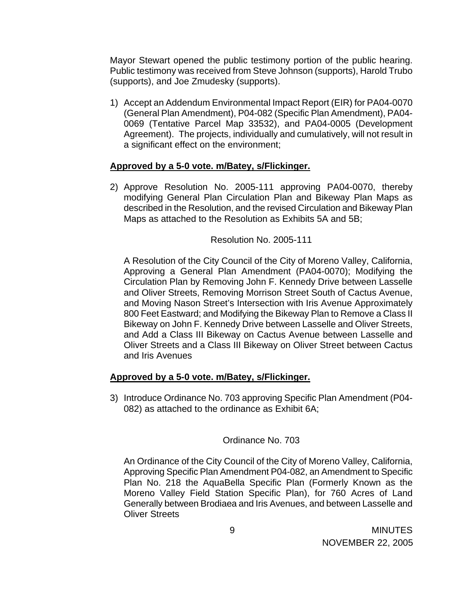Mayor Stewart opened the public testimony portion of the public hearing. Public testimony was received from Steve Johnson (supports), Harold Trubo (supports), and Joe Zmudesky (supports).

1) Accept an Addendum Environmental Impact Report (EIR) for PA04-0070 (General Plan Amendment), P04-082 (Specific Plan Amendment), PA04- 0069 (Tentative Parcel Map 33532), and PA04-0005 (Development Agreement). The projects, individually and cumulatively, will not result in a significant effect on the environment;

# **Approved by a 5-0 vote. m/Batey, s/Flickinger.**

2) Approve Resolution No. 2005-111 approving PA04-0070, thereby modifying General Plan Circulation Plan and Bikeway Plan Maps as described in the Resolution, and the revised Circulation and Bikeway Plan Maps as attached to the Resolution as Exhibits 5A and 5B;

# Resolution No. 2005-111

A Resolution of the City Council of the City of Moreno Valley, California, Approving a General Plan Amendment (PA04-0070); Modifying the Circulation Plan by Removing John F. Kennedy Drive between Lasselle and Oliver Streets, Removing Morrison Street South of Cactus Avenue, and Moving Nason Street's Intersection with Iris Avenue Approximately 800 Feet Eastward; and Modifying the Bikeway Plan to Remove a Class II Bikeway on John F. Kennedy Drive between Lasselle and Oliver Streets, and Add a Class III Bikeway on Cactus Avenue between Lasselle and Oliver Streets and a Class III Bikeway on Oliver Street between Cactus and Iris Avenues

# **Approved by a 5-0 vote. m/Batey, s/Flickinger.**

3) Introduce Ordinance No. 703 approving Specific Plan Amendment (P04- 082) as attached to the ordinance as Exhibit 6A;

# Ordinance No. 703

An Ordinance of the City Council of the City of Moreno Valley, California, Approving Specific Plan Amendment P04-082, an Amendment to Specific Plan No. 218 the AquaBella Specific Plan (Formerly Known as the Moreno Valley Field Station Specific Plan), for 760 Acres of Land Generally between Brodiaea and Iris Avenues, and between Lasselle and Oliver Streets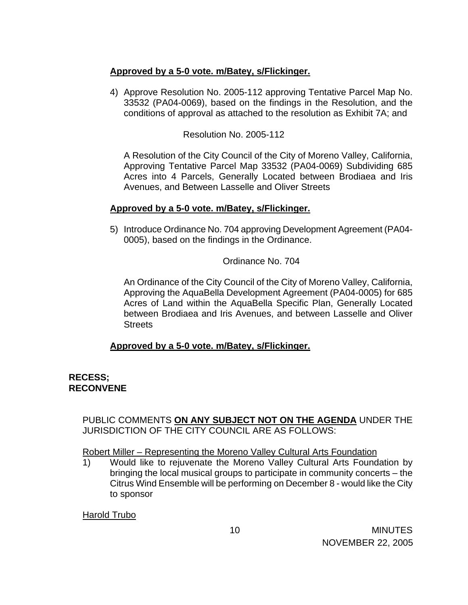# **Approved by a 5-0 vote. m/Batey, s/Flickinger.**

4) Approve Resolution No. 2005-112 approving Tentative Parcel Map No. 33532 (PA04-0069), based on the findings in the Resolution, and the conditions of approval as attached to the resolution as Exhibit 7A; and

Resolution No. 2005-112

A Resolution of the City Council of the City of Moreno Valley, California, Approving Tentative Parcel Map 33532 (PA04-0069) Subdividing 685 Acres into 4 Parcels, Generally Located between Brodiaea and Iris Avenues, and Between Lasselle and Oliver Streets

# **Approved by a 5-0 vote. m/Batey, s/Flickinger.**

5) Introduce Ordinance No. 704 approving Development Agreement (PA04- 0005), based on the findings in the Ordinance.

Ordinance No. 704

 An Ordinance of the City Council of the City of Moreno Valley, California, Approving the AquaBella Development Agreement (PA04-0005) for 685 Acres of Land within the AquaBella Specific Plan, Generally Located between Brodiaea and Iris Avenues, and between Lasselle and Oliver **Streets** 

# **Approved by a 5-0 vote. m/Batey, s/Flickinger.**

# **RECESS; RECONVENE**

 PUBLIC COMMENTS **ON ANY SUBJECT NOT ON THE AGENDA** UNDER THE JURISDICTION OF THE CITY COUNCIL ARE AS FOLLOWS:

Robert Miller – Representing the Moreno Valley Cultural Arts Foundation

 1) Would like to rejuvenate the Moreno Valley Cultural Arts Foundation by bringing the local musical groups to participate in community concerts – the Citrus Wind Ensemble will be performing on December 8 - would like the City to sponsor

Harold Trubo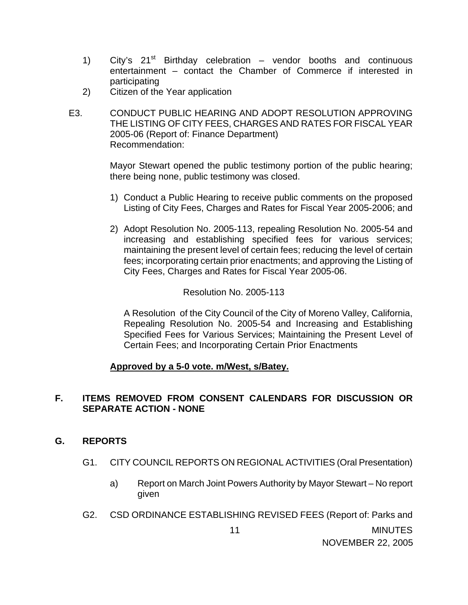- 1) City's  $21^{st}$  Birthday celebration vendor booths and continuous entertainment – contact the Chamber of Commerce if interested in participating
- 2) Citizen of the Year application
- E3. CONDUCT PUBLIC HEARING AND ADOPT RESOLUTION APPROVING THE LISTING OF CITY FEES, CHARGES AND RATES FOR FISCAL YEAR 2005-06 (Report of: Finance Department) Recommendation:

 Mayor Stewart opened the public testimony portion of the public hearing; there being none, public testimony was closed.

- 1) Conduct a Public Hearing to receive public comments on the proposed Listing of City Fees, Charges and Rates for Fiscal Year 2005-2006; and
- 2) Adopt Resolution No. 2005-113, repealing Resolution No. 2005-54 and increasing and establishing specified fees for various services; maintaining the present level of certain fees; reducing the level of certain fees; incorporating certain prior enactments; and approving the Listing of City Fees, Charges and Rates for Fiscal Year 2005-06.

Resolution No. 2005-113

A Resolution of the City Council of the City of Moreno Valley, California, Repealing Resolution No. 2005-54 and Increasing and Establishing Specified Fees for Various Services; Maintaining the Present Level of Certain Fees; and Incorporating Certain Prior Enactments

#### **Approved by a 5-0 vote. m/West, s/Batey.**

# **F. ITEMS REMOVED FROM CONSENT CALENDARS FOR DISCUSSION OR SEPARATE ACTION - NONE**

#### **G. REPORTS**

- G1. CITY COUNCIL REPORTS ON REGIONAL ACTIVITIES (Oral Presentation)
	- a) Report on March Joint Powers Authority by Mayor Stewart No report given
- 11 MINUTES G2. CSD ORDINANCE ESTABLISHING REVISED FEES (Report of: Parks and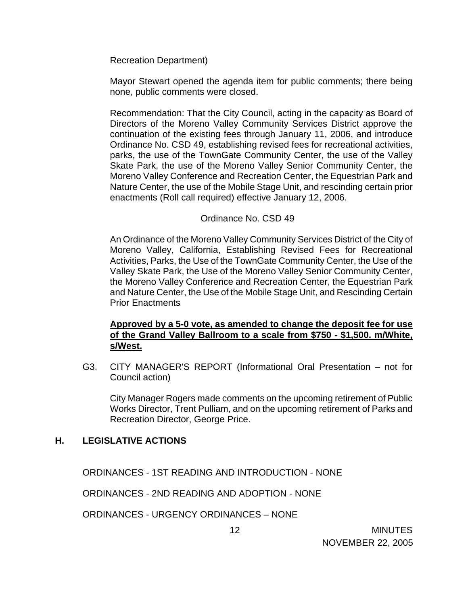Recreation Department)

Mayor Stewart opened the agenda item for public comments; there being none, public comments were closed.

 Recommendation: That the City Council, acting in the capacity as Board of Directors of the Moreno Valley Community Services District approve the continuation of the existing fees through January 11, 2006, and introduce Ordinance No. CSD 49, establishing revised fees for recreational activities, parks, the use of the TownGate Community Center, the use of the Valley Skate Park, the use of the Moreno Valley Senior Community Center, the Moreno Valley Conference and Recreation Center, the Equestrian Park and Nature Center, the use of the Mobile Stage Unit, and rescinding certain prior enactments (Roll call required) effective January 12, 2006.

# Ordinance No. CSD 49

 An Ordinance of the Moreno Valley Community Services District of the City of Moreno Valley, California, Establishing Revised Fees for Recreational Activities, Parks, the Use of the TownGate Community Center, the Use of the Valley Skate Park, the Use of the Moreno Valley Senior Community Center, the Moreno Valley Conference and Recreation Center, the Equestrian Park and Nature Center, the Use of the Mobile Stage Unit, and Rescinding Certain Prior Enactments

# **Approved by a 5-0 vote, as amended to change the deposit fee for use of the Grand Valley Ballroom to a scale from \$750 - \$1,500. m/White, s/West.**

G3. CITY MANAGER'S REPORT (Informational Oral Presentation – not for Council action)

 City Manager Rogers made comments on the upcoming retirement of Public Works Director, Trent Pulliam, and on the upcoming retirement of Parks and Recreation Director, George Price.

#### **H. LEGISLATIVE ACTIONS**

ORDINANCES - 1ST READING AND INTRODUCTION - NONE

ORDINANCES - 2ND READING AND ADOPTION - NONE

ORDINANCES - URGENCY ORDINANCES – NONE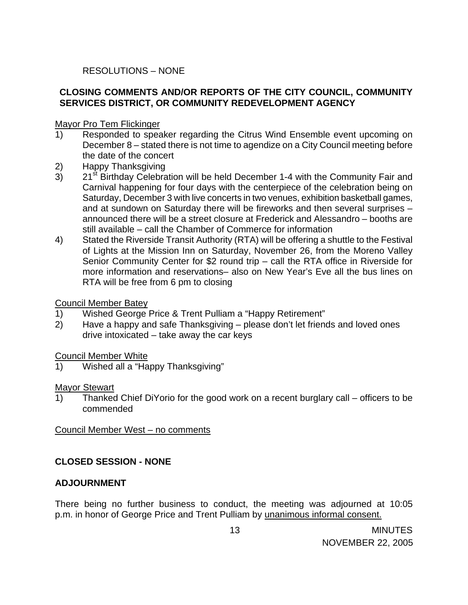# RESOLUTIONS – NONE

# **CLOSING COMMENTS AND/OR REPORTS OF THE CITY COUNCIL, COMMUNITY SERVICES DISTRICT, OR COMMUNITY REDEVELOPMENT AGENCY**

### Mayor Pro Tem Flickinger

- 1) Responded to speaker regarding the Citrus Wind Ensemble event upcoming on December 8 – stated there is not time to agendize on a City Council meeting before the date of the concert
- 2) Happy Thanksgiving
- 3) 21<sup>st</sup> Birthday Celebration will be held December 1-4 with the Community Fair and Carnival happening for four days with the centerpiece of the celebration being on Saturday, December 3 with live concerts in two venues, exhibition basketball games, and at sundown on Saturday there will be fireworks and then several surprises – announced there will be a street closure at Frederick and Alessandro – booths are still available – call the Chamber of Commerce for information
- 4) Stated the Riverside Transit Authority (RTA) will be offering a shuttle to the Festival of Lights at the Mission Inn on Saturday, November 26, from the Moreno Valley Senior Community Center for \$2 round trip – call the RTA office in Riverside for more information and reservations– also on New Year's Eve all the bus lines on RTA will be free from 6 pm to closing

#### Council Member Batey

- 1) Wished George Price & Trent Pulliam a "Happy Retirement"
- 2) Have a happy and safe Thanksgiving please don't let friends and loved ones drive intoxicated – take away the car keys

#### Council Member White

1) Wished all a "Happy Thanksgiving"

#### Mayor Stewart

1) Thanked Chief DiYorio for the good work on a recent burglary call – officers to be commended

#### Council Member West – no comments

# **CLOSED SESSION - NONE**

# **ADJOURNMENT**

There being no further business to conduct, the meeting was adjourned at 10:05 p.m. in honor of George Price and Trent Pulliam by unanimous informal consent.